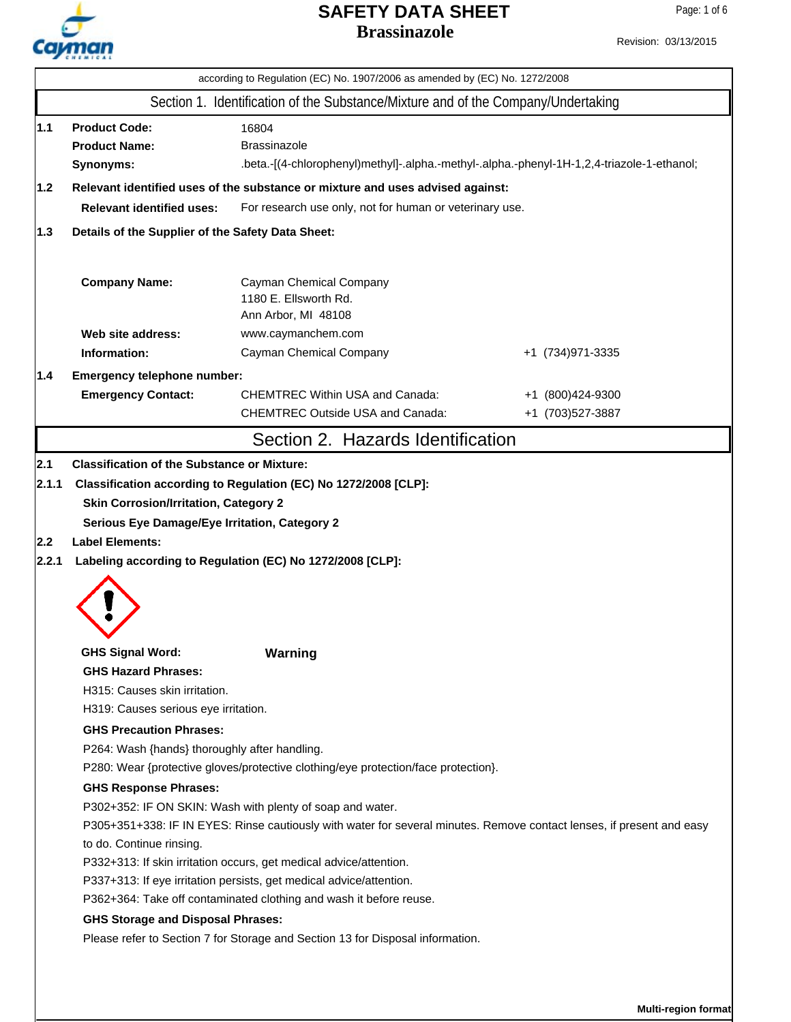

| Revision: 03/13/2015 |
|----------------------|
|                      |

|                                                                                                                                                                                                                                                                                                                                                                                                                                                                         | Section 1. Identification of the Substance/Mixture and of the Company/Undertaking                                                                                                                                                                                                                                                                                                                                                                                                                                                                                   |                                      |
|-------------------------------------------------------------------------------------------------------------------------------------------------------------------------------------------------------------------------------------------------------------------------------------------------------------------------------------------------------------------------------------------------------------------------------------------------------------------------|---------------------------------------------------------------------------------------------------------------------------------------------------------------------------------------------------------------------------------------------------------------------------------------------------------------------------------------------------------------------------------------------------------------------------------------------------------------------------------------------------------------------------------------------------------------------|--------------------------------------|
| 1.1 <br><b>Product Code:</b><br><b>Product Name:</b><br>Synonyms:                                                                                                                                                                                                                                                                                                                                                                                                       | 16804<br><b>Brassinazole</b><br>.beta.-[(4-chlorophenyl)methyl]-.alpha.-methyl-.alpha.-phenyl-1H-1,2,4-triazole-1-ethanol;                                                                                                                                                                                                                                                                                                                                                                                                                                          |                                      |
| $1.2$<br><b>Relevant identified uses:</b>                                                                                                                                                                                                                                                                                                                                                                                                                               | Relevant identified uses of the substance or mixture and uses advised against:                                                                                                                                                                                                                                                                                                                                                                                                                                                                                      |                                      |
|                                                                                                                                                                                                                                                                                                                                                                                                                                                                         | For research use only, not for human or veterinary use.                                                                                                                                                                                                                                                                                                                                                                                                                                                                                                             |                                      |
| 1.3 <br>Details of the Supplier of the Safety Data Sheet:                                                                                                                                                                                                                                                                                                                                                                                                               |                                                                                                                                                                                                                                                                                                                                                                                                                                                                                                                                                                     |                                      |
| <b>Company Name:</b>                                                                                                                                                                                                                                                                                                                                                                                                                                                    | Cayman Chemical Company<br>1180 E. Ellsworth Rd.<br>Ann Arbor, MI 48108                                                                                                                                                                                                                                                                                                                                                                                                                                                                                             |                                      |
| Web site address:                                                                                                                                                                                                                                                                                                                                                                                                                                                       | www.caymanchem.com                                                                                                                                                                                                                                                                                                                                                                                                                                                                                                                                                  |                                      |
| Information:                                                                                                                                                                                                                                                                                                                                                                                                                                                            | Cayman Chemical Company                                                                                                                                                                                                                                                                                                                                                                                                                                                                                                                                             | +1 (734) 971-3335                    |
| Emergency telephone number:<br>1.4                                                                                                                                                                                                                                                                                                                                                                                                                                      |                                                                                                                                                                                                                                                                                                                                                                                                                                                                                                                                                                     |                                      |
| <b>Emergency Contact:</b>                                                                                                                                                                                                                                                                                                                                                                                                                                               | <b>CHEMTREC Within USA and Canada:</b><br><b>CHEMTREC Outside USA and Canada:</b>                                                                                                                                                                                                                                                                                                                                                                                                                                                                                   | +1 (800)424-9300<br>+1 (703)527-3887 |
|                                                                                                                                                                                                                                                                                                                                                                                                                                                                         | Section 2. Hazards Identification                                                                                                                                                                                                                                                                                                                                                                                                                                                                                                                                   |                                      |
| <b>Skin Corrosion/Irritation, Category 2</b><br>Serious Eye Damage/Eye Irritation, Category 2<br><b>Label Elements:</b><br> 2.2 <br> 2.2.1<br><b>GHS Signal Word:</b><br><b>GHS Hazard Phrases:</b><br>H315: Causes skin irritation.<br>H319: Causes serious eye irritation.<br><b>GHS Precaution Phrases:</b><br>P264: Wash {hands} thoroughly after handling.<br><b>GHS Response Phrases:</b><br>to do. Continue rinsing.<br><b>GHS Storage and Disposal Phrases:</b> | Labeling according to Regulation (EC) No 1272/2008 [CLP]:<br>Warning<br>P280: Wear {protective gloves/protective clothing/eye protection/face protection}.<br>P302+352: IF ON SKIN: Wash with plenty of soap and water.<br>P305+351+338: IF IN EYES: Rinse cautiously with water for several minutes. Remove contact lenses, if present and easy<br>P332+313: If skin irritation occurs, get medical advice/attention.<br>P337+313: If eye irritation persists, get medical advice/attention.<br>P362+364: Take off contaminated clothing and wash it before reuse. |                                      |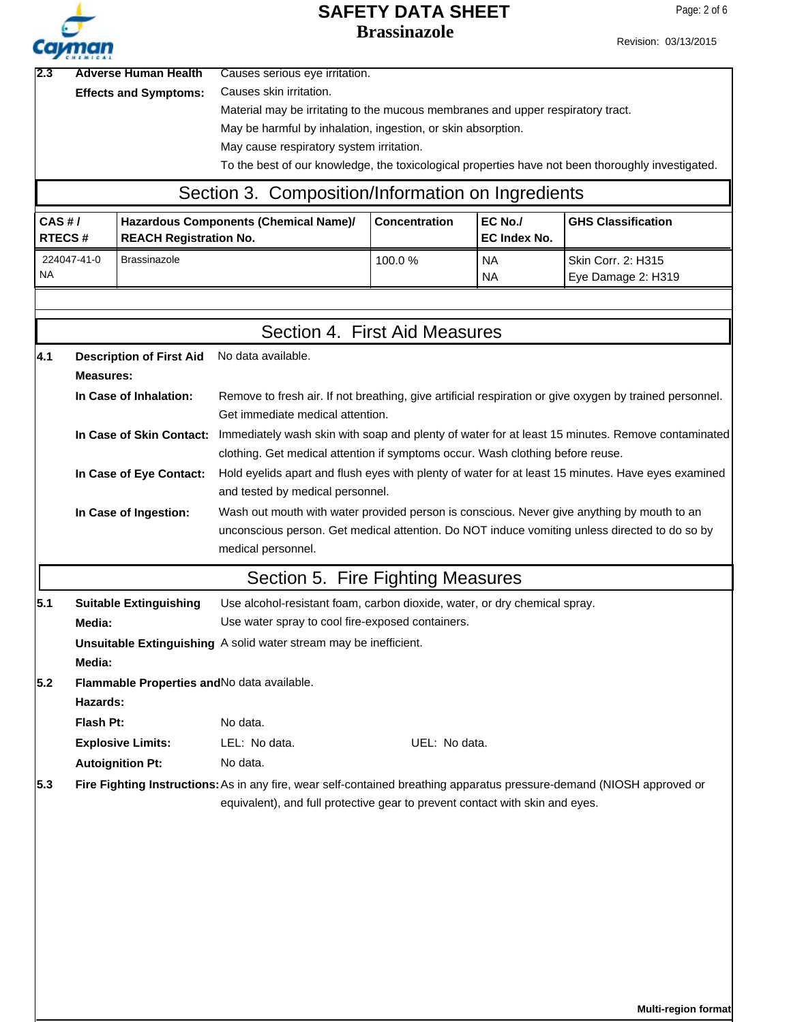

Revision: 03/13/2015

| 12.3 | <b>Adverse Human Health</b>  | Causes serious eye irritation.                                                                    |  |
|------|------------------------------|---------------------------------------------------------------------------------------------------|--|
|      | <b>Effects and Symptoms:</b> | Causes skin irritation.                                                                           |  |
|      |                              | Material may be irritating to the mucous membranes and upper respiratory tract.                   |  |
|      |                              | May be harmful by inhalation, ingestion, or skin absorption.                                      |  |
|      |                              | May cause respiratory system irritation.                                                          |  |
|      |                              | To the best of our knowledge, the toxicological properties have not been thoroughly investigated. |  |
|      |                              | Section 3. Composition/Information on Ingredients                                                 |  |

# Section 3. Composition/Information on Ingredients

| CAS H/<br><b>RTECS#</b>  | Hazardous Components (Chemical Name)/<br><b>REACH Registration No.</b> | <b>Concentration</b> | EC No./<br>EC Index No. | <b>GHS Classification</b>                  |
|--------------------------|------------------------------------------------------------------------|----------------------|-------------------------|--------------------------------------------|
| 224047-41-0<br><b>NA</b> | l Brassinazole                                                         | 100.0 $%$            | <b>NA</b><br><b>NA</b>  | l Skin Corr. 2: H315<br>Eye Damage 2: H319 |

|     |                                                                             |                                                                                                                                                                                                             | Section 4. First Aid Measures                                                                                                                                                               |  |  |  |  |
|-----|-----------------------------------------------------------------------------|-------------------------------------------------------------------------------------------------------------------------------------------------------------------------------------------------------------|---------------------------------------------------------------------------------------------------------------------------------------------------------------------------------------------|--|--|--|--|
| 4.1 | <b>Description of First Aid</b>                                             | No data available.                                                                                                                                                                                          |                                                                                                                                                                                             |  |  |  |  |
|     | <b>Measures:</b>                                                            |                                                                                                                                                                                                             |                                                                                                                                                                                             |  |  |  |  |
|     | In Case of Inhalation:                                                      | Get immediate medical attention.                                                                                                                                                                            | Remove to fresh air. If not breathing, give artificial respiration or give oxygen by trained personnel.                                                                                     |  |  |  |  |
|     |                                                                             | In Case of Skin Contact: Immediately wash skin with soap and plenty of water for at least 15 minutes. Remove contaminated<br>clothing. Get medical attention if symptoms occur. Wash clothing before reuse. |                                                                                                                                                                                             |  |  |  |  |
|     | In Case of Eye Contact:                                                     | and tested by medical personnel.                                                                                                                                                                            | Hold eyelids apart and flush eyes with plenty of water for at least 15 minutes. Have eyes examined                                                                                          |  |  |  |  |
|     | In Case of Ingestion:                                                       | medical personnel.                                                                                                                                                                                          | Wash out mouth with water provided person is conscious. Never give anything by mouth to an<br>unconscious person. Get medical attention. Do NOT induce vomiting unless directed to do so by |  |  |  |  |
|     |                                                                             |                                                                                                                                                                                                             | Section 5. Fire Fighting Measures                                                                                                                                                           |  |  |  |  |
| 5.1 | <b>Suitable Extinguishing</b>                                               | Use alcohol-resistant foam, carbon dioxide, water, or dry chemical spray.                                                                                                                                   |                                                                                                                                                                                             |  |  |  |  |
|     | Media:                                                                      | Use water spray to cool fire-exposed containers.                                                                                                                                                            |                                                                                                                                                                                             |  |  |  |  |
|     | Unsuitable Extinguishing A solid water stream may be inefficient.<br>Media: |                                                                                                                                                                                                             |                                                                                                                                                                                             |  |  |  |  |
| 5.2 | Flammable Properties and No data available.<br>Hazards:                     |                                                                                                                                                                                                             |                                                                                                                                                                                             |  |  |  |  |
|     | Flash Pt:                                                                   | No data.                                                                                                                                                                                                    |                                                                                                                                                                                             |  |  |  |  |
|     | <b>Explosive Limits:</b>                                                    | LEL: No data.                                                                                                                                                                                               | UEL: No data.                                                                                                                                                                               |  |  |  |  |
|     | <b>Autoignition Pt:</b>                                                     | No data.                                                                                                                                                                                                    |                                                                                                                                                                                             |  |  |  |  |
| 5.3 |                                                                             |                                                                                                                                                                                                             | Fire Fighting Instructions: As in any fire, wear self-contained breathing apparatus pressure-demand (NIOSH approved or                                                                      |  |  |  |  |
|     |                                                                             |                                                                                                                                                                                                             | equivalent), and full protective gear to prevent contact with skin and eyes.                                                                                                                |  |  |  |  |
|     |                                                                             |                                                                                                                                                                                                             |                                                                                                                                                                                             |  |  |  |  |
|     |                                                                             |                                                                                                                                                                                                             |                                                                                                                                                                                             |  |  |  |  |
|     |                                                                             |                                                                                                                                                                                                             |                                                                                                                                                                                             |  |  |  |  |
|     |                                                                             |                                                                                                                                                                                                             |                                                                                                                                                                                             |  |  |  |  |
|     |                                                                             |                                                                                                                                                                                                             |                                                                                                                                                                                             |  |  |  |  |
|     |                                                                             |                                                                                                                                                                                                             |                                                                                                                                                                                             |  |  |  |  |
|     |                                                                             |                                                                                                                                                                                                             |                                                                                                                                                                                             |  |  |  |  |

**Multi-region format**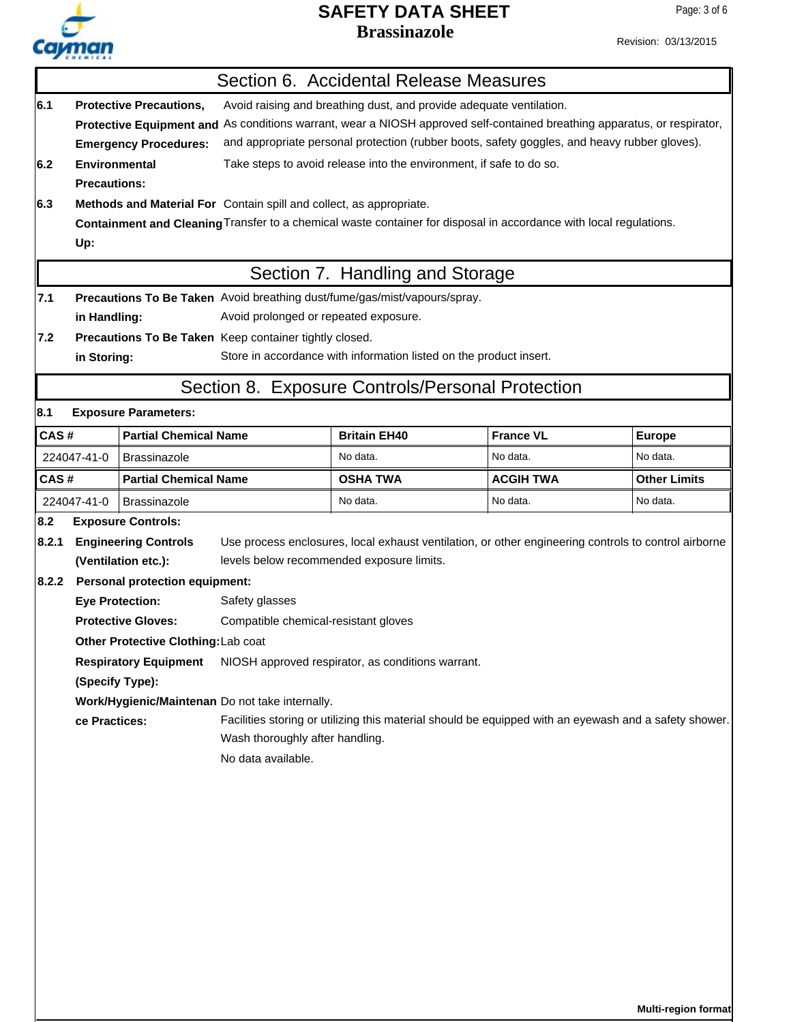Revision: 03/13/2015

|       |                                                                                                                                                                                                                                                                                                                                                                   |                                            |                                                                                                       | Section 6. Accidental Release Measures                                                                             |                  |                     |
|-------|-------------------------------------------------------------------------------------------------------------------------------------------------------------------------------------------------------------------------------------------------------------------------------------------------------------------------------------------------------------------|--------------------------------------------|-------------------------------------------------------------------------------------------------------|--------------------------------------------------------------------------------------------------------------------|------------------|---------------------|
| 6.1   | Avoid raising and breathing dust, and provide adequate ventilation.<br><b>Protective Precautions,</b><br>Protective Equipment and As conditions warrant, wear a NIOSH approved self-contained breathing apparatus, or respirator,<br>and appropriate personal protection (rubber boots, safety goggles, and heavy rubber gloves).<br><b>Emergency Procedures:</b> |                                            |                                                                                                       |                                                                                                                    |                  |                     |
| 6.2   | <b>Environmental</b><br><b>Precautions:</b>                                                                                                                                                                                                                                                                                                                       |                                            |                                                                                                       | Take steps to avoid release into the environment, if safe to do so.                                                |                  |                     |
| 6.3   | Up:                                                                                                                                                                                                                                                                                                                                                               |                                            | Methods and Material For Contain spill and collect, as appropriate.                                   | Containment and Cleaning Transfer to a chemical waste container for disposal in accordance with local regulations. |                  |                     |
|       |                                                                                                                                                                                                                                                                                                                                                                   |                                            |                                                                                                       | Section 7. Handling and Storage                                                                                    |                  |                     |
| 7.1   | in Handling:                                                                                                                                                                                                                                                                                                                                                      |                                            | Avoid prolonged or repeated exposure.                                                                 | Precautions To Be Taken Avoid breathing dust/fume/gas/mist/vapours/spray.                                          |                  |                     |
| 7.2   | in Storing:                                                                                                                                                                                                                                                                                                                                                       |                                            | Precautions To Be Taken Keep container tightly closed.                                                | Store in accordance with information listed on the product insert.                                                 |                  |                     |
|       |                                                                                                                                                                                                                                                                                                                                                                   |                                            |                                                                                                       | Section 8. Exposure Controls/Personal Protection                                                                   |                  |                     |
| 8.1   |                                                                                                                                                                                                                                                                                                                                                                   | <b>Exposure Parameters:</b>                |                                                                                                       |                                                                                                                    |                  |                     |
| CAS#  |                                                                                                                                                                                                                                                                                                                                                                   | <b>Partial Chemical Name</b>               |                                                                                                       | <b>Britain EH40</b>                                                                                                | <b>France VL</b> | <b>Europe</b>       |
|       | 224047-41-0                                                                                                                                                                                                                                                                                                                                                       | <b>Brassinazole</b>                        |                                                                                                       | No data.                                                                                                           | No data.         | No data.            |
| CAS#  |                                                                                                                                                                                                                                                                                                                                                                   | <b>Partial Chemical Name</b>               |                                                                                                       | <b>OSHA TWA</b>                                                                                                    | <b>ACGIH TWA</b> | <b>Other Limits</b> |
|       | 224047-41-0                                                                                                                                                                                                                                                                                                                                                       | <b>Brassinazole</b>                        |                                                                                                       | No data.                                                                                                           | No data.         | No data.            |
| 8.2   |                                                                                                                                                                                                                                                                                                                                                                   | <b>Exposure Controls:</b>                  |                                                                                                       |                                                                                                                    |                  |                     |
| 8.2.1 |                                                                                                                                                                                                                                                                                                                                                                   | <b>Engineering Controls</b>                |                                                                                                       | Use process enclosures, local exhaust ventilation, or other engineering controls to control airborne               |                  |                     |
|       |                                                                                                                                                                                                                                                                                                                                                                   | (Ventilation etc.):                        |                                                                                                       | levels below recommended exposure limits.                                                                          |                  |                     |
| 8.2.2 |                                                                                                                                                                                                                                                                                                                                                                   | <b>Personal protection equipment:</b>      |                                                                                                       |                                                                                                                    |                  |                     |
|       |                                                                                                                                                                                                                                                                                                                                                                   | <b>Eye Protection:</b>                     | Safety glasses                                                                                        |                                                                                                                    |                  |                     |
|       |                                                                                                                                                                                                                                                                                                                                                                   | <b>Protective Gloves:</b>                  | Compatible chemical-resistant gloves                                                                  |                                                                                                                    |                  |                     |
|       |                                                                                                                                                                                                                                                                                                                                                                   | <b>Other Protective Clothing: Lab coat</b> |                                                                                                       |                                                                                                                    |                  |                     |
|       |                                                                                                                                                                                                                                                                                                                                                                   | <b>Respiratory Equipment</b>               |                                                                                                       | NIOSH approved respirator, as conditions warrant.                                                                  |                  |                     |
|       | (Specify Type):                                                                                                                                                                                                                                                                                                                                                   |                                            |                                                                                                       |                                                                                                                    |                  |                     |
|       | Work/Hygienic/Maintenan Do not take internally.<br>ce Practices:<br>Wash thoroughly after handling.<br>No data available.                                                                                                                                                                                                                                         |                                            | Facilities storing or utilizing this material should be equipped with an eyewash and a safety shower. |                                                                                                                    |                  |                     |
|       |                                                                                                                                                                                                                                                                                                                                                                   |                                            |                                                                                                       |                                                                                                                    |                  |                     |
|       |                                                                                                                                                                                                                                                                                                                                                                   |                                            |                                                                                                       |                                                                                                                    |                  |                     |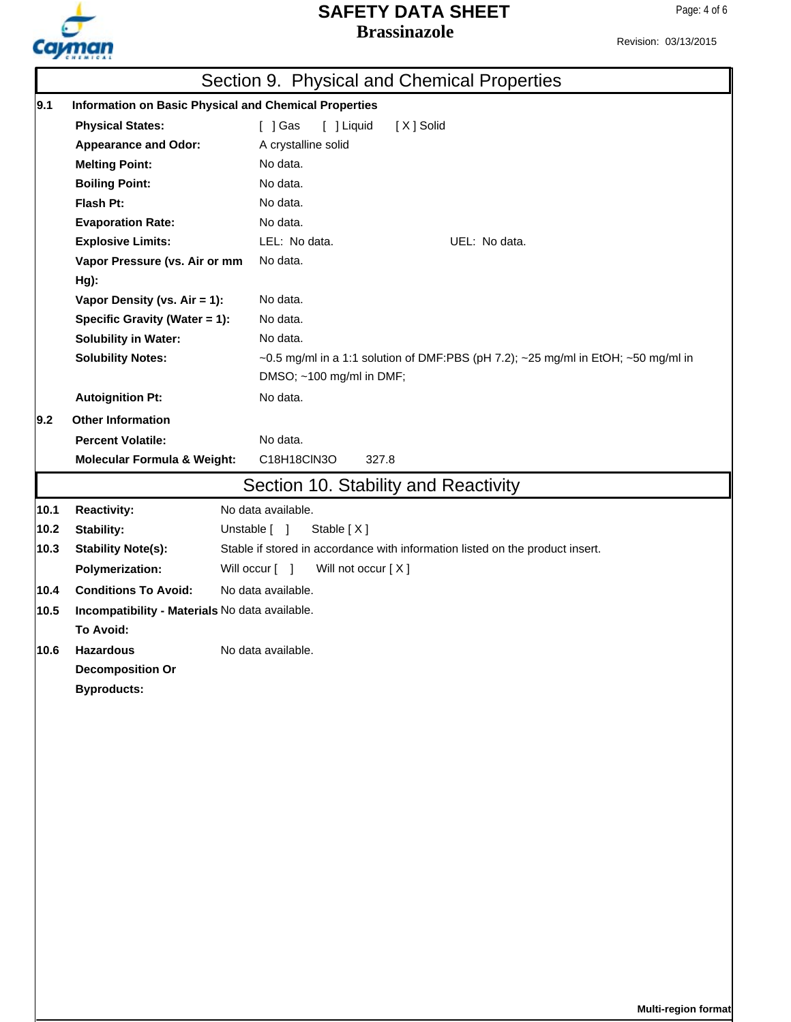

# **Brassinazole SAFETY DATA SHEET**

Revision: 03/13/2015

|        |                                                | Section 9. Physical and Chemical Properties                                                                   |  |
|--------|------------------------------------------------|---------------------------------------------------------------------------------------------------------------|--|
| 9.1    |                                                | <b>Information on Basic Physical and Chemical Properties</b>                                                  |  |
|        | <b>Physical States:</b>                        | [X] Solid<br>[ ] Gas<br>[ ] Liquid                                                                            |  |
|        | <b>Appearance and Odor:</b>                    | A crystalline solid                                                                                           |  |
|        | <b>Melting Point:</b>                          | No data.                                                                                                      |  |
|        | <b>Boiling Point:</b>                          | No data.                                                                                                      |  |
|        | Flash Pt:                                      | No data.                                                                                                      |  |
|        | <b>Evaporation Rate:</b>                       | No data.                                                                                                      |  |
|        | <b>Explosive Limits:</b>                       | LEL: No data.<br>UEL: No data.                                                                                |  |
|        | Vapor Pressure (vs. Air or mm                  | No data.                                                                                                      |  |
|        | Hg):                                           |                                                                                                               |  |
|        | Vapor Density (vs. Air = 1):                   | No data.                                                                                                      |  |
|        | Specific Gravity (Water = 1):                  | No data.                                                                                                      |  |
|        | <b>Solubility in Water:</b>                    | No data.                                                                                                      |  |
|        | <b>Solubility Notes:</b>                       | ~0.5 mg/ml in a 1:1 solution of DMF:PBS (pH 7.2); ~25 mg/ml in EtOH; ~50 mg/ml in<br>DMSO; ~100 mg/ml in DMF; |  |
|        | <b>Autoignition Pt:</b>                        | No data.                                                                                                      |  |
| 9.2    | <b>Other Information</b>                       |                                                                                                               |  |
|        | <b>Percent Volatile:</b>                       | No data.                                                                                                      |  |
|        | <b>Molecular Formula &amp; Weight:</b>         | C18H18CIN3O<br>327.8                                                                                          |  |
|        |                                                | Section 10. Stability and Reactivity                                                                          |  |
| 10.1   | <b>Reactivity:</b>                             | No data available.                                                                                            |  |
| $10.2$ | Stability:                                     | Stable [X]<br>Unstable [ ]                                                                                    |  |
| 10.3   | <b>Stability Note(s):</b>                      | Stable if stored in accordance with information listed on the product insert.                                 |  |
|        | <b>Polymerization:</b>                         | Will occur [ ]<br>Will not occur [X]                                                                          |  |
| 10.4   | <b>Conditions To Avoid:</b>                    | No data available.                                                                                            |  |
| 10.5   | Incompatibility - Materials No data available. |                                                                                                               |  |
|        | <b>To Avoid:</b>                               |                                                                                                               |  |
| 10.6   | <b>Hazardous</b>                               | No data available.                                                                                            |  |
|        | <b>Decomposition Or</b>                        |                                                                                                               |  |
|        | <b>Byproducts:</b>                             |                                                                                                               |  |
|        |                                                |                                                                                                               |  |
|        |                                                |                                                                                                               |  |
|        |                                                |                                                                                                               |  |
|        |                                                |                                                                                                               |  |
|        |                                                |                                                                                                               |  |
|        |                                                |                                                                                                               |  |
|        |                                                |                                                                                                               |  |
|        |                                                |                                                                                                               |  |
|        |                                                |                                                                                                               |  |
|        |                                                |                                                                                                               |  |
|        |                                                |                                                                                                               |  |
|        |                                                |                                                                                                               |  |
|        |                                                |                                                                                                               |  |
|        |                                                |                                                                                                               |  |
|        |                                                |                                                                                                               |  |
|        |                                                | Multi-region format                                                                                           |  |
|        |                                                |                                                                                                               |  |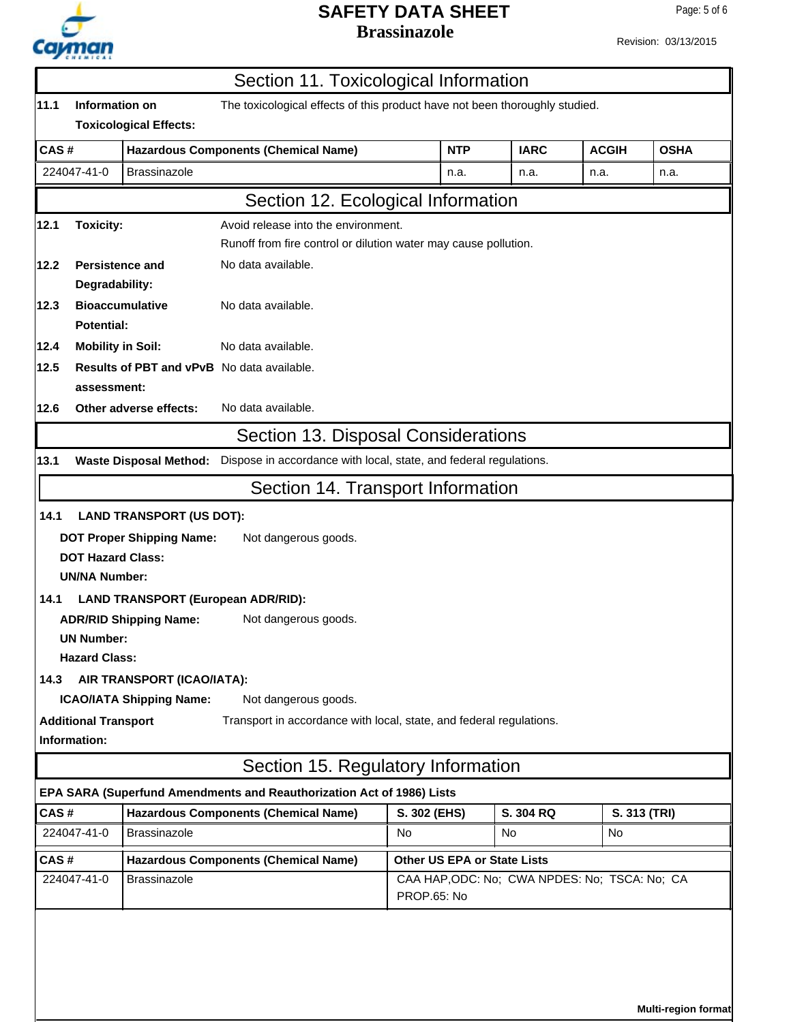

Page: 5 of 6

|                                    |                             |                                             | Section 11. Toxicological Information                                       |                                                                 |            |             |              |              |
|------------------------------------|-----------------------------|---------------------------------------------|-----------------------------------------------------------------------------|-----------------------------------------------------------------|------------|-------------|--------------|--------------|
| 11.1                               | Information on              |                                             | The toxicological effects of this product have not been thoroughly studied. |                                                                 |            |             |              |              |
|                                    |                             | <b>Toxicological Effects:</b>               |                                                                             |                                                                 |            |             |              |              |
| CAS#                               |                             |                                             | <b>Hazardous Components (Chemical Name)</b>                                 |                                                                 | <b>NTP</b> | <b>IARC</b> | <b>ACGIH</b> | <b>OSHA</b>  |
|                                    | 224047-41-0                 | <b>Brassinazole</b>                         |                                                                             |                                                                 | n.a.       | n.a.        | n.a.         | n.a.         |
|                                    |                             |                                             | Section 12. Ecological Information                                          |                                                                 |            |             |              |              |
| 12.1                               | <b>Toxicity:</b>            |                                             | Avoid release into the environment.                                         |                                                                 |            |             |              |              |
|                                    |                             |                                             |                                                                             | Runoff from fire control or dilution water may cause pollution. |            |             |              |              |
| 12.2                               | <b>Persistence and</b>      |                                             | No data available.                                                          |                                                                 |            |             |              |              |
|                                    | Degradability:              |                                             |                                                                             |                                                                 |            |             |              |              |
| 12.3                               |                             | <b>Bioaccumulative</b>                      | No data available.                                                          |                                                                 |            |             |              |              |
|                                    | <b>Potential:</b>           |                                             |                                                                             |                                                                 |            |             |              |              |
| 12.4                               | <b>Mobility in Soil:</b>    |                                             | No data available.                                                          |                                                                 |            |             |              |              |
| 12.5                               |                             |                                             | <b>Results of PBT and vPvB</b> No data available.                           |                                                                 |            |             |              |              |
|                                    | assessment:                 |                                             |                                                                             |                                                                 |            |             |              |              |
| 12.6                               |                             | Other adverse effects:                      | No data available.                                                          |                                                                 |            |             |              |              |
|                                    |                             |                                             | Section 13. Disposal Considerations                                         |                                                                 |            |             |              |              |
| 13.1                               |                             | <b>Waste Disposal Method:</b>               | Dispose in accordance with local, state, and federal regulations.           |                                                                 |            |             |              |              |
|                                    |                             |                                             | Section 14. Transport Information                                           |                                                                 |            |             |              |              |
| 14.1                               |                             | <b>LAND TRANSPORT (US DOT):</b>             |                                                                             |                                                                 |            |             |              |              |
|                                    |                             | <b>DOT Proper Shipping Name:</b>            | Not dangerous goods.                                                        |                                                                 |            |             |              |              |
|                                    | <b>DOT Hazard Class:</b>    |                                             |                                                                             |                                                                 |            |             |              |              |
|                                    | <b>UN/NA Number:</b>        |                                             |                                                                             |                                                                 |            |             |              |              |
| 14.1                               |                             | <b>LAND TRANSPORT (European ADR/RID):</b>   |                                                                             |                                                                 |            |             |              |              |
|                                    |                             | <b>ADR/RID Shipping Name:</b>               | Not dangerous goods.                                                        |                                                                 |            |             |              |              |
|                                    | <b>UN Number:</b>           |                                             |                                                                             |                                                                 |            |             |              |              |
|                                    | <b>Hazard Class:</b>        |                                             |                                                                             |                                                                 |            |             |              |              |
| 14.3                               |                             | AIR TRANSPORT (ICAO/IATA):                  |                                                                             |                                                                 |            |             |              |              |
|                                    |                             | <b>ICAO/IATA Shipping Name:</b>             | Not dangerous goods.                                                        |                                                                 |            |             |              |              |
|                                    | <b>Additional Transport</b> |                                             | Transport in accordance with local, state, and federal regulations.         |                                                                 |            |             |              |              |
|                                    | Information:                |                                             |                                                                             |                                                                 |            |             |              |              |
|                                    |                             |                                             | Section 15. Regulatory Information                                          |                                                                 |            |             |              |              |
|                                    |                             |                                             | EPA SARA (Superfund Amendments and Reauthorization Act of 1986) Lists       |                                                                 |            |             |              |              |
| CAS#                               |                             |                                             | <b>Hazardous Components (Chemical Name)</b>                                 | S. 302 (EHS)                                                    |            | S. 304 RQ   |              | S. 313 (TRI) |
|                                    | 224047-41-0                 | <b>Brassinazole</b>                         |                                                                             | No                                                              |            | No          | No           |              |
| CAS#                               |                             | <b>Hazardous Components (Chemical Name)</b> |                                                                             | <b>Other US EPA or State Lists</b>                              |            |             |              |              |
| 224047-41-0<br><b>Brassinazole</b> |                             |                                             | CAA HAP, ODC: No; CWA NPDES: No; TSCA: No; CA<br>PROP.65: No                |                                                                 |            |             |              |              |
|                                    |                             |                                             |                                                                             |                                                                 |            |             |              |              |

**Multi-region format**